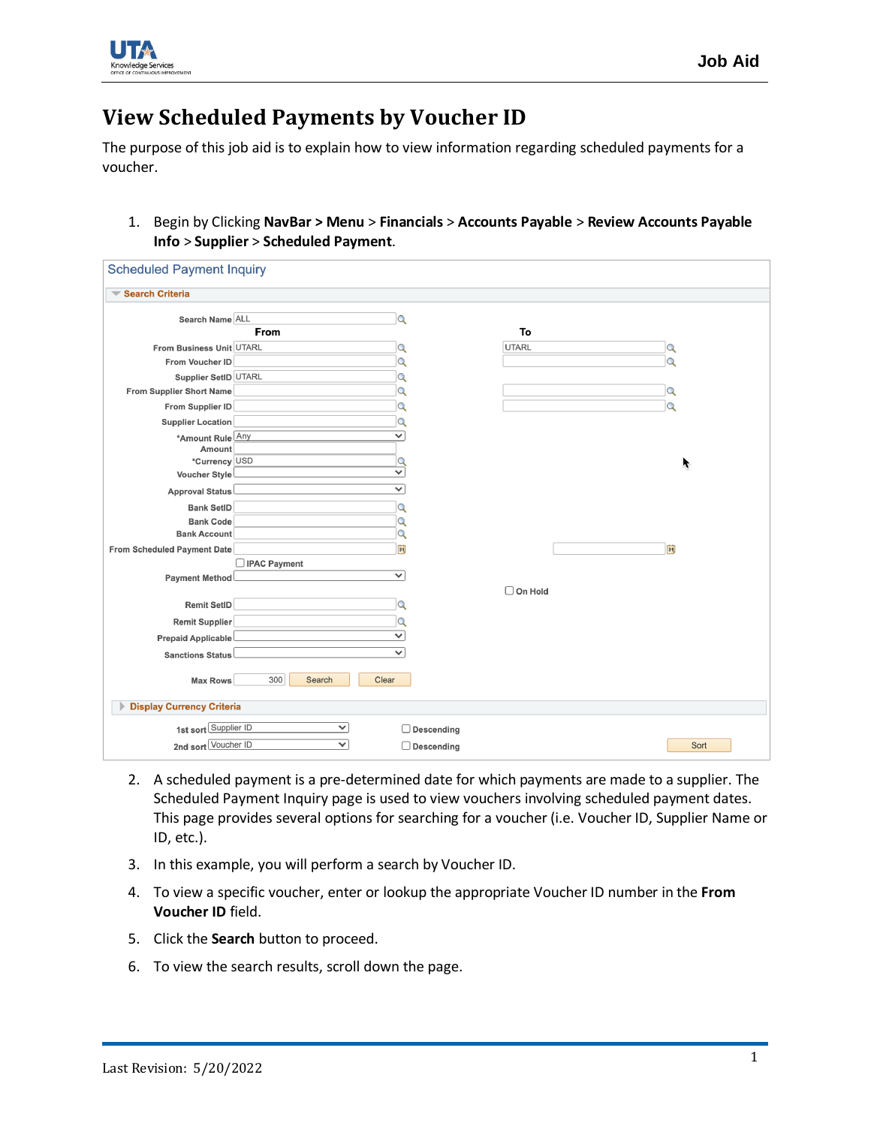

## **View Scheduled Payments by Voucher ID**

The purpose of this job aid is to explain how to view information regarding scheduled payments for a voucher.

1. Begin by Clicking **NavBar > Menu** > **Financials** > **Accounts Payable** > **Review Accounts Payable Info** > **Supplier** > **Scheduled Payment**.

| <b>Scheduled Payment Inquiry</b>                           |                |
|------------------------------------------------------------|----------------|
| Search Criteria                                            |                |
| Search Name ALL<br>$\Omega$                                |                |
| From                                                       | To             |
| From Business Unit UTARL<br>Q                              | UTARL<br>Q     |
| From Voucher ID<br>Q                                       | Q              |
| Supplier SetID UTARL<br>Q                                  |                |
| $\alpha$<br>From Supplier Short Name                       | Q              |
| From Supplier ID<br>Q                                      | $\Omega$       |
| Supplier Location<br>Q                                     |                |
| *Amount Rule Any<br>v                                      |                |
| Amount                                                     |                |
| *Currency USD<br>Q<br>$\checkmark$<br><b>Voucher Style</b> | r              |
| $\checkmark$                                               |                |
| Approval Status                                            |                |
| <b>Bank SetID</b><br>Q                                     |                |
| <b>Bank Code</b><br>Q                                      |                |
| <b>Bank Account</b><br>Q                                   |                |
| BU<br>From Scheduled Payment Date                          | H              |
| □ IPAC Payment<br>$\checkmark$                             |                |
| Payment Method                                             | $\Box$ On Hold |
| Remit SetID<br>Q                                           |                |
|                                                            |                |
| Remit Supplier<br>Q                                        |                |
| $\checkmark$<br>Prepaid Applicable                         |                |
| $\checkmark$<br>Sanctions Status                           |                |
| 300<br>Clear<br>Search<br><b>Max Rows</b>                  |                |
| <b>Display Currency Criteria</b>                           |                |
| 1st sort Supplier ID<br>$\checkmark$<br>$\Box$ Descending  |                |
| 2nd sort Voucher ID<br>$\checkmark$<br>$\Box$ Descending   | Sort           |
|                                                            |                |

- 2. A scheduled payment is a pre-determined date for which payments are made to a supplier. The Scheduled Payment Inquiry page is used to view vouchers involving scheduled payment dates. This page provides several options for searching for a voucher (i.e. Voucher ID, Supplier Name or ID, etc.).
- 3. In this example, you will perform a search by Voucher ID.
- 4. To view a specific voucher, enter or lookup the appropriate Voucher ID number in the **From Voucher ID** field.
- 5. Click the **Search** button to proceed.
- 6. To view the search results, scroll down the page.